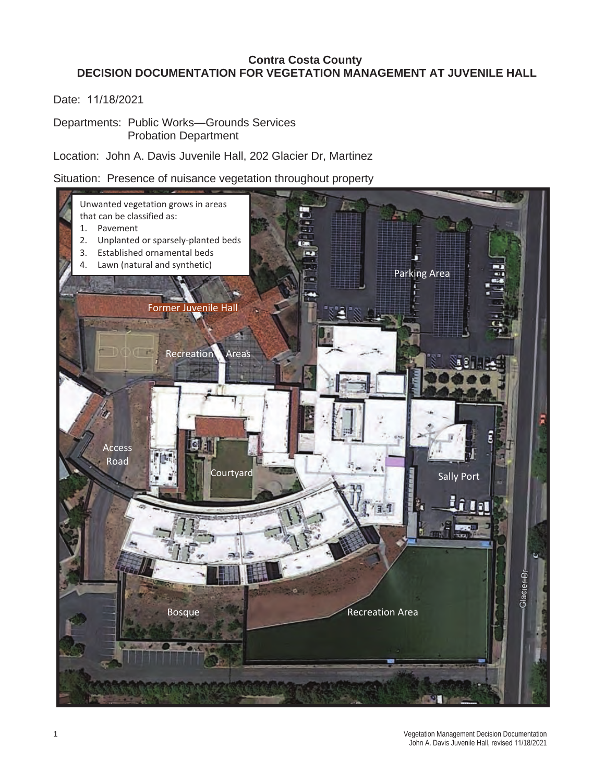## **Contra Costa County DECISION DOCUMENTATION FOR VEGETATION MANAGEMENT AT JUVENILE HALL**

Date: 11/18/2021

Departments: Public Works—Grounds Services Probation Department

Location: John A. Davis Juvenile Hall, 202 Glacier Dr, Martinez

Situation: Presence of nuisance vegetation throughout property

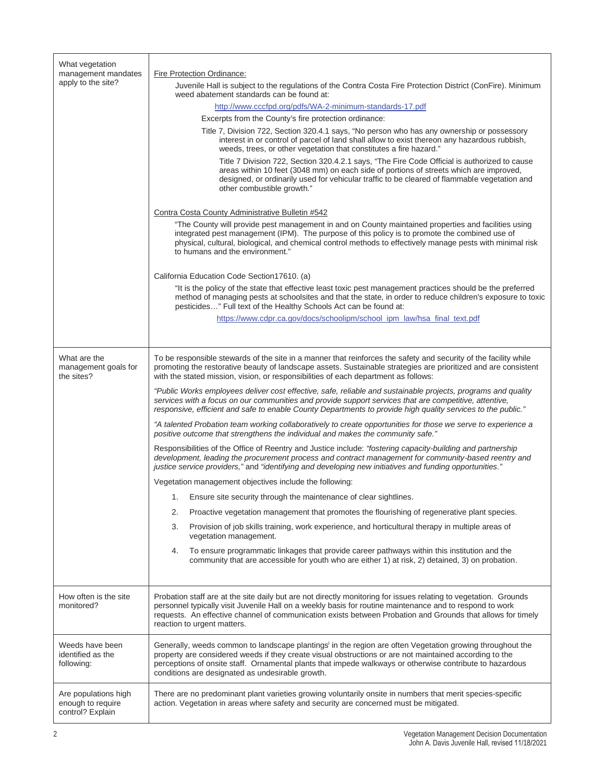| What vegetation<br>management mandates<br>apply to the site?  | <b>Fire Protection Ordinance:</b><br>Juvenile Hall is subject to the regulations of the Contra Costa Fire Protection District (ConFire). Minimum<br>weed abatement standards can be found at:<br>http://www.cccfpd.org/pdfs/WA-2-minimum-standards-17.pdf<br>Excerpts from the County's fire protection ordinance:<br>Title 7, Division 722, Section 320.4.1 says, "No person who has any ownership or possessory<br>interest in or control of parcel of land shall allow to exist thereon any hazardous rubbish,<br>weeds, trees, or other vegetation that constitutes a fire hazard."<br>Title 7 Division 722, Section 320.4.2.1 says, "The Fire Code Official is authorized to cause<br>areas within 10 feet (3048 mm) on each side of portions of streets which are improved,<br>designed, or ordinarily used for vehicular traffic to be cleared of flammable vegetation and<br>other combustible growth."<br>Contra Costa County Administrative Bulletin #542<br>"The County will provide pest management in and on County maintained properties and facilities using<br>integrated pest management (IPM). The purpose of this policy is to promote the combined use of<br>physical, cultural, biological, and chemical control methods to effectively manage pests with minimal risk<br>to humans and the environment."<br>California Education Code Section17610. (a)<br>"It is the policy of the state that effective least toxic pest management practices should be the preferred<br>method of managing pests at schoolsites and that the state, in order to reduce children's exposure to toxic<br>pesticides" Full text of the Healthy Schools Act can be found at:<br>https://www.cdpr.ca.gov/docs/schoolipm/school_ipm_law/hsa_final_text.pdf                                        |  |  |
|---------------------------------------------------------------|-----------------------------------------------------------------------------------------------------------------------------------------------------------------------------------------------------------------------------------------------------------------------------------------------------------------------------------------------------------------------------------------------------------------------------------------------------------------------------------------------------------------------------------------------------------------------------------------------------------------------------------------------------------------------------------------------------------------------------------------------------------------------------------------------------------------------------------------------------------------------------------------------------------------------------------------------------------------------------------------------------------------------------------------------------------------------------------------------------------------------------------------------------------------------------------------------------------------------------------------------------------------------------------------------------------------------------------------------------------------------------------------------------------------------------------------------------------------------------------------------------------------------------------------------------------------------------------------------------------------------------------------------------------------------------------------------------------------------------------------------------------------------------------------------------|--|--|
| What are the<br>management goals for<br>the sites?            | To be responsible stewards of the site in a manner that reinforces the safety and security of the facility while<br>promoting the restorative beauty of landscape assets. Sustainable strategies are prioritized and are consistent<br>with the stated mission, vision, or responsibilities of each department as follows:<br>"Public Works employees deliver cost effective, safe, reliable and sustainable projects, programs and quality<br>services with a focus on our communities and provide support services that are competitive, attentive,<br>responsive, efficient and safe to enable County Departments to provide high quality services to the public."<br>"A talented Probation team working collaboratively to create opportunities for those we serve to experience a<br>positive outcome that strengthens the individual and makes the community safe."<br>Responsibilities of the Office of Reentry and Justice include: "fostering capacity-building and partnership<br>development, leading the procurement process and contract management for community-based reentry and<br>justice service providers," and "identifying and developing new initiatives and funding opportunities."<br>Vegetation management objectives include the following:<br>1. Ensure site security through the maintenance of clear sightlines.<br>2.<br>Proactive vegetation management that promotes the flourishing of regenerative plant species.<br>3.<br>Provision of job skills training, work experience, and horticultural therapy in multiple areas of<br>vegetation management.<br>To ensure programmatic linkages that provide career pathways within this institution and the<br>4.<br>community that are accessible for youth who are either 1) at risk, 2) detained, 3) on probation. |  |  |
| How often is the site<br>monitored?                           | Probation staff are at the site daily but are not directly monitoring for issues relating to vegetation. Grounds<br>personnel typically visit Juvenile Hall on a weekly basis for routine maintenance and to respond to work<br>requests. An effective channel of communication exists between Probation and Grounds that allows for timely<br>reaction to urgent matters.                                                                                                                                                                                                                                                                                                                                                                                                                                                                                                                                                                                                                                                                                                                                                                                                                                                                                                                                                                                                                                                                                                                                                                                                                                                                                                                                                                                                                          |  |  |
| Weeds have been<br>identified as the<br>following:            | Generally, weeds common to landscape plantings' in the region are often Vegetation growing throughout the<br>property are considered weeds if they create visual obstructions or are not maintained according to the<br>perceptions of onsite staff. Ornamental plants that impede walkways or otherwise contribute to hazardous<br>conditions are designated as undesirable growth.                                                                                                                                                                                                                                                                                                                                                                                                                                                                                                                                                                                                                                                                                                                                                                                                                                                                                                                                                                                                                                                                                                                                                                                                                                                                                                                                                                                                                |  |  |
| Are populations high<br>enough to require<br>control? Explain | There are no predominant plant varieties growing voluntarily onsite in numbers that merit species-specific<br>action. Vegetation in areas where safety and security are concerned must be mitigated.                                                                                                                                                                                                                                                                                                                                                                                                                                                                                                                                                                                                                                                                                                                                                                                                                                                                                                                                                                                                                                                                                                                                                                                                                                                                                                                                                                                                                                                                                                                                                                                                |  |  |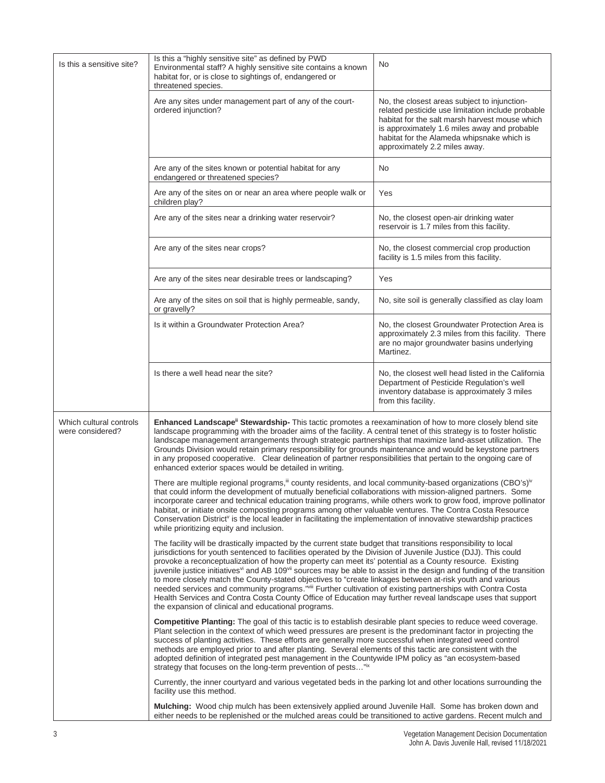| Is this a sensitive site?                   | Is this a "highly sensitive site" as defined by PWD<br>Environmental staff? A highly sensitive site contains a known<br>habitat for, or is close to sightings of, endangered or<br>threatened species.                                                                                                                                                                                                                                                                                                                                                                                                                                                                                                                                                                                                                                                                                                     | No                                                                                                                                                                                                                                                                                 |  |  |
|---------------------------------------------|------------------------------------------------------------------------------------------------------------------------------------------------------------------------------------------------------------------------------------------------------------------------------------------------------------------------------------------------------------------------------------------------------------------------------------------------------------------------------------------------------------------------------------------------------------------------------------------------------------------------------------------------------------------------------------------------------------------------------------------------------------------------------------------------------------------------------------------------------------------------------------------------------------|------------------------------------------------------------------------------------------------------------------------------------------------------------------------------------------------------------------------------------------------------------------------------------|--|--|
|                                             | Are any sites under management part of any of the court-<br>ordered injunction?                                                                                                                                                                                                                                                                                                                                                                                                                                                                                                                                                                                                                                                                                                                                                                                                                            | No, the closest areas subject to injunction-<br>related pesticide use limitation include probable<br>habitat for the salt marsh harvest mouse which<br>is approximately 1.6 miles away and probable<br>habitat for the Alameda whipsnake which is<br>approximately 2.2 miles away. |  |  |
|                                             | Are any of the sites known or potential habitat for any<br>endangered or threatened species?                                                                                                                                                                                                                                                                                                                                                                                                                                                                                                                                                                                                                                                                                                                                                                                                               | No.                                                                                                                                                                                                                                                                                |  |  |
|                                             | Are any of the sites on or near an area where people walk or<br>children play?                                                                                                                                                                                                                                                                                                                                                                                                                                                                                                                                                                                                                                                                                                                                                                                                                             | Yes                                                                                                                                                                                                                                                                                |  |  |
|                                             | Are any of the sites near a drinking water reservoir?                                                                                                                                                                                                                                                                                                                                                                                                                                                                                                                                                                                                                                                                                                                                                                                                                                                      | No, the closest open-air drinking water<br>reservoir is 1.7 miles from this facility.                                                                                                                                                                                              |  |  |
|                                             | Are any of the sites near crops?                                                                                                                                                                                                                                                                                                                                                                                                                                                                                                                                                                                                                                                                                                                                                                                                                                                                           | No, the closest commercial crop production<br>facility is 1.5 miles from this facility.                                                                                                                                                                                            |  |  |
|                                             | Are any of the sites near desirable trees or landscaping?                                                                                                                                                                                                                                                                                                                                                                                                                                                                                                                                                                                                                                                                                                                                                                                                                                                  | Yes                                                                                                                                                                                                                                                                                |  |  |
|                                             | Are any of the sites on soil that is highly permeable, sandy,<br>or gravelly?                                                                                                                                                                                                                                                                                                                                                                                                                                                                                                                                                                                                                                                                                                                                                                                                                              | No, site soil is generally classified as clay loam                                                                                                                                                                                                                                 |  |  |
|                                             | Is it within a Groundwater Protection Area?                                                                                                                                                                                                                                                                                                                                                                                                                                                                                                                                                                                                                                                                                                                                                                                                                                                                | No, the closest Groundwater Protection Area is<br>approximately 2.3 miles from this facility. There<br>are no major groundwater basins underlying<br>Martinez.                                                                                                                     |  |  |
|                                             | Is there a well head near the site?                                                                                                                                                                                                                                                                                                                                                                                                                                                                                                                                                                                                                                                                                                                                                                                                                                                                        | No, the closest well head listed in the California<br>Department of Pesticide Regulation's well<br>inventory database is approximately 3 miles<br>from this facility.                                                                                                              |  |  |
| Which cultural controls<br>were considered? | Enhanced Landscape" Stewardship- This tactic promotes a reexamination of how to more closely blend site<br>landscape programming with the broader aims of the facility. A central tenet of this strategy is to foster holistic<br>landscape management arrangements through strategic partnerships that maximize land-asset utilization. The<br>Grounds Division would retain primary responsibility for grounds maintenance and would be keystone partners<br>in any proposed cooperative. Clear delineation of partner responsibilities that pertain to the ongoing care of<br>enhanced exterior spaces would be detailed in writing.                                                                                                                                                                                                                                                                    |                                                                                                                                                                                                                                                                                    |  |  |
|                                             | There are multiple regional programs," county residents, and local community-based organizations (CBO's) <sup>iv</sup><br>that could inform the development of mutually beneficial collaborations with mission-aligned partners. Some<br>incorporate career and technical education training programs, while others work to grow food, improve pollinator<br>habitat, or initiate onsite composting programs among other valuable ventures. The Contra Costa Resource<br>Conservation District <sup>y</sup> is the local leader in facilitating the implementation of innovative stewardship practices<br>while prioritizing equity and inclusion.                                                                                                                                                                                                                                                         |                                                                                                                                                                                                                                                                                    |  |  |
|                                             | The facility will be drastically impacted by the current state budget that transitions responsibility to local<br>jurisdictions for youth sentenced to facilities operated by the Division of Juvenile Justice (DJJ). This could<br>provoke a reconceptualization of how the property can meet its' potential as a County resource. Existing<br>juvenile justice initiatives <sup>vi</sup> and AB 109 <sup>vii</sup> sources may be able to assist in the design and funding of the transition<br>to more closely match the County-stated objectives to "create linkages between at-risk youth and various<br>needed services and community programs." <sup>vili</sup> Further cultivation of existing partnerships with Contra Costa<br>Health Services and Contra Costa County Office of Education may further reveal landscape uses that support<br>the expansion of clinical and educational programs. |                                                                                                                                                                                                                                                                                    |  |  |
|                                             | <b>Competitive Planting:</b> The goal of this tactic is to establish desirable plant species to reduce weed coverage.<br>Plant selection in the context of which weed pressures are present is the predominant factor in projecting the<br>success of planting activities. These efforts are generally more successful when integrated weed control<br>methods are employed prior to and after planting. Several elements of this tactic are consistent with the<br>adopted definition of integrated pest management in the Countywide IPM policy as "an ecosystem-based<br>strategy that focuses on the long-term prevention of pests"ix                                                                                                                                                                                                                                                                  |                                                                                                                                                                                                                                                                                    |  |  |
|                                             | Currently, the inner courtyard and various vegetated beds in the parking lot and other locations surrounding the<br>facility use this method.                                                                                                                                                                                                                                                                                                                                                                                                                                                                                                                                                                                                                                                                                                                                                              |                                                                                                                                                                                                                                                                                    |  |  |
|                                             | Mulching: Wood chip mulch has been extensively applied around Juvenile Hall. Some has broken down and<br>either needs to be replenished or the mulched areas could be transitioned to active gardens. Recent mulch and                                                                                                                                                                                                                                                                                                                                                                                                                                                                                                                                                                                                                                                                                     |                                                                                                                                                                                                                                                                                    |  |  |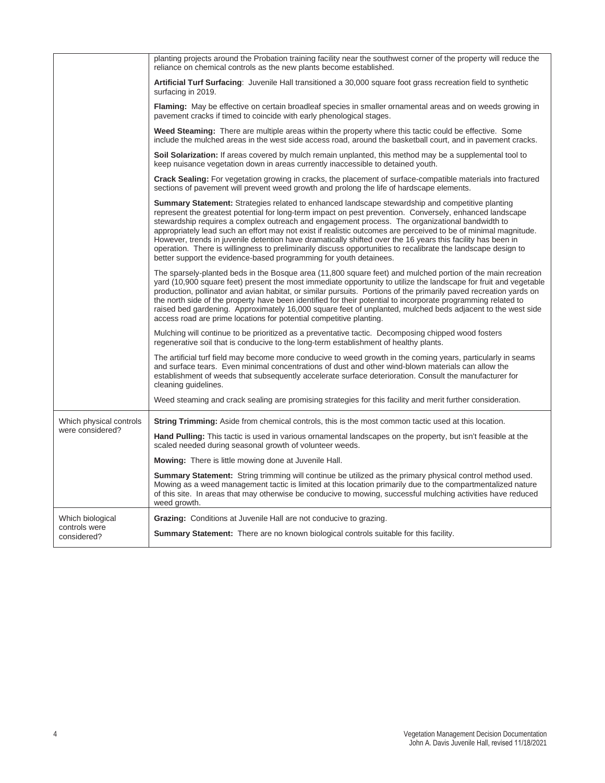|                                             | planting projects around the Probation training facility near the southwest corner of the property will reduce the<br>reliance on chemical controls as the new plants become established.                                                                                                                                                                                                                                                                                                                                                                                                                                                                                                                                                       |
|---------------------------------------------|-------------------------------------------------------------------------------------------------------------------------------------------------------------------------------------------------------------------------------------------------------------------------------------------------------------------------------------------------------------------------------------------------------------------------------------------------------------------------------------------------------------------------------------------------------------------------------------------------------------------------------------------------------------------------------------------------------------------------------------------------|
|                                             | Artificial Turf Surfacing: Juvenile Hall transitioned a 30,000 square foot grass recreation field to synthetic<br>surfacing in 2019.                                                                                                                                                                                                                                                                                                                                                                                                                                                                                                                                                                                                            |
|                                             | Flaming: May be effective on certain broadleaf species in smaller ornamental areas and on weeds growing in<br>pavement cracks if timed to coincide with early phenological stages.                                                                                                                                                                                                                                                                                                                                                                                                                                                                                                                                                              |
|                                             | Weed Steaming: There are multiple areas within the property where this tactic could be effective. Some<br>include the mulched areas in the west side access road, around the basketball court, and in pavement cracks.                                                                                                                                                                                                                                                                                                                                                                                                                                                                                                                          |
|                                             | Soil Solarization: If areas covered by mulch remain unplanted, this method may be a supplemental tool to<br>keep nuisance vegetation down in areas currently inaccessible to detained youth.                                                                                                                                                                                                                                                                                                                                                                                                                                                                                                                                                    |
|                                             | Crack Sealing: For vegetation growing in cracks, the placement of surface-compatible materials into fractured<br>sections of pavement will prevent weed growth and prolong the life of hardscape elements.                                                                                                                                                                                                                                                                                                                                                                                                                                                                                                                                      |
|                                             | <b>Summary Statement:</b> Strategies related to enhanced landscape stewardship and competitive planting<br>represent the greatest potential for long-term impact on pest prevention. Conversely, enhanced landscape<br>stewardship requires a complex outreach and engagement process. The organizational bandwidth to<br>appropriately lead such an effort may not exist if realistic outcomes are perceived to be of minimal magnitude.<br>However, trends in juvenile detention have dramatically shifted over the 16 years this facility has been in<br>operation. There is willingness to preliminarily discuss opportunities to recalibrate the landscape design to<br>better support the evidence-based programming for youth detainees. |
|                                             | The sparsely-planted beds in the Bosque area (11,800 square feet) and mulched portion of the main recreation<br>yard (10,900 square feet) present the most immediate opportunity to utilize the landscape for fruit and vegetable<br>production, pollinator and avian habitat, or similar pursuits. Portions of the primarily paved recreation yards on<br>the north side of the property have been identified for their potential to incorporate programming related to<br>raised bed gardening. Approximately 16,000 square feet of unplanted, mulched beds adjacent to the west side<br>access road are prime locations for potential competitive planting.                                                                                  |
|                                             | Mulching will continue to be prioritized as a preventative tactic. Decomposing chipped wood fosters<br>regenerative soil that is conducive to the long-term establishment of healthy plants.                                                                                                                                                                                                                                                                                                                                                                                                                                                                                                                                                    |
|                                             | The artificial turf field may become more conducive to weed growth in the coming years, particularly in seams<br>and surface tears. Even minimal concentrations of dust and other wind-blown materials can allow the<br>establishment of weeds that subsequently accelerate surface deterioration. Consult the manufacturer for<br>cleaning guidelines.                                                                                                                                                                                                                                                                                                                                                                                         |
|                                             | Weed steaming and crack sealing are promising strategies for this facility and merit further consideration.                                                                                                                                                                                                                                                                                                                                                                                                                                                                                                                                                                                                                                     |
| Which physical controls<br>were considered? | <b>String Trimming:</b> Aside from chemical controls, this is the most common tactic used at this location.                                                                                                                                                                                                                                                                                                                                                                                                                                                                                                                                                                                                                                     |
|                                             | Hand Pulling: This tactic is used in various ornamental landscapes on the property, but isn't feasible at the<br>scaled needed during seasonal growth of volunteer weeds.                                                                                                                                                                                                                                                                                                                                                                                                                                                                                                                                                                       |
|                                             | <b>Mowing:</b> There is little mowing done at Juvenile Hall.                                                                                                                                                                                                                                                                                                                                                                                                                                                                                                                                                                                                                                                                                    |
|                                             | <b>Summary Statement:</b> String trimming will continue be utilized as the primary physical control method used.<br>Mowing as a weed management tactic is limited at this location primarily due to the compartmentalized nature<br>of this site. In areas that may otherwise be conducive to mowing, successful mulching activities have reduced<br>weed growth.                                                                                                                                                                                                                                                                                                                                                                               |
| Which biological                            | Grazing: Conditions at Juvenile Hall are not conducive to grazing.                                                                                                                                                                                                                                                                                                                                                                                                                                                                                                                                                                                                                                                                              |
| controls were<br>considered?                | <b>Summary Statement:</b> There are no known biological controls suitable for this facility.                                                                                                                                                                                                                                                                                                                                                                                                                                                                                                                                                                                                                                                    |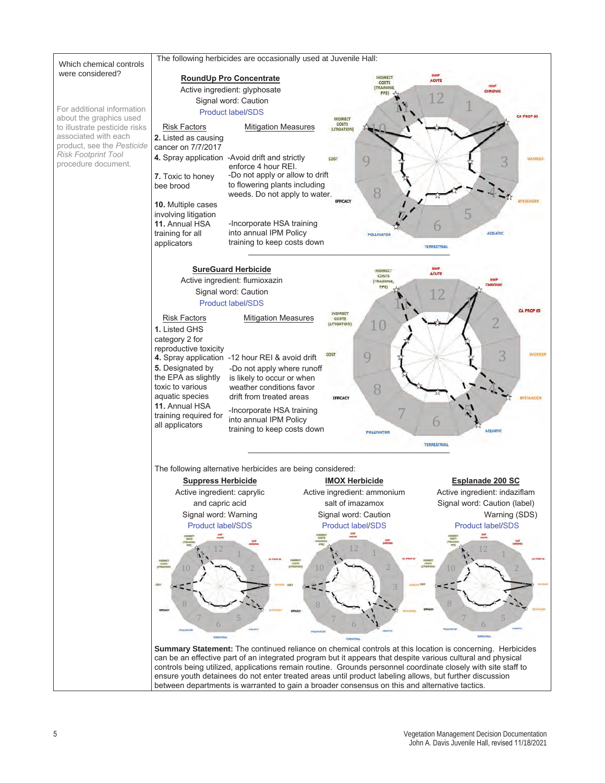